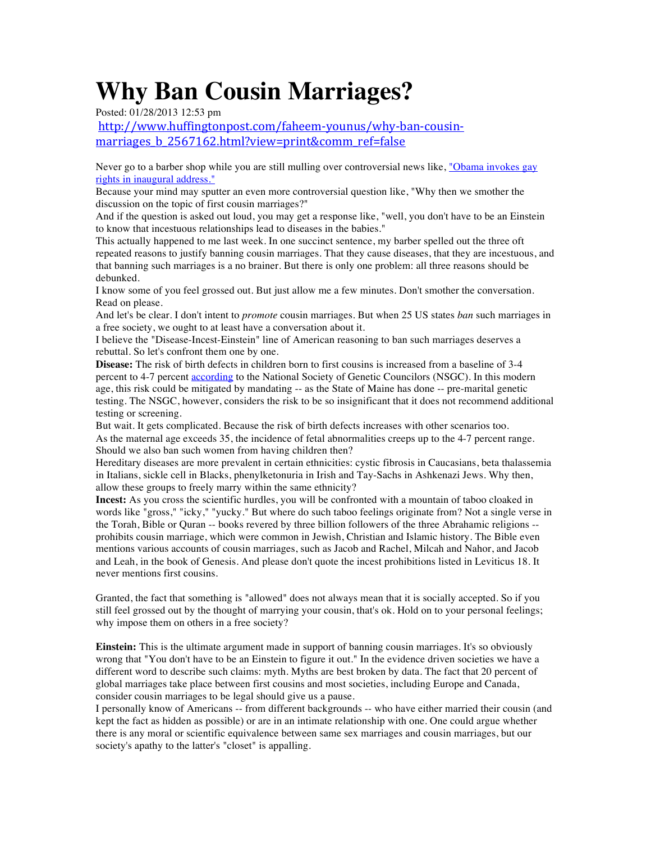## **Why Ban Cousin Marriages?**

Posted: 01/28/2013 12:53 pm

http://www.huffingtonpost.com/faheem-younus/why-ban-cousinmarriages b 2567162.html?view=print&comm\_ref=false

Never go to a barber shop while you are still mulling over controversial news like, "Obama invokes gay" rights in inaugural address."

Because your mind may sputter an even more controversial question like, "Why then we smother the discussion on the topic of first cousin marriages?"

And if the question is asked out loud, you may get a response like, "well, you don't have to be an Einstein to know that incestuous relationships lead to diseases in the babies."

This actually happened to me last week. In one succinct sentence, my barber spelled out the three oft repeated reasons to justify banning cousin marriages. That they cause diseases, that they are incestuous, and that banning such marriages is a no brainer. But there is only one problem: all three reasons should be debunked.

I know some of you feel grossed out. But just allow me a few minutes. Don't smother the conversation. Read on please.

And let's be clear. I don't intent to *promote* cousin marriages. But when 25 US states *ban* such marriages in a free society, we ought to at least have a conversation about it.

I believe the "Disease-Incest-Einstein" line of American reasoning to ban such marriages deserves a rebuttal. So let's confront them one by one.

**Disease:** The risk of birth defects in children born to first cousins is increased from a baseline of 3-4 percent to 4-7 percent according to the National Society of Genetic Councilors (NSGC). In this modern age, this risk could be mitigated by mandating -- as the State of Maine has done -- pre-marital genetic testing. The NSGC, however, considers the risk to be so insignificant that it does not recommend additional testing or screening.

But wait. It gets complicated. Because the risk of birth defects increases with other scenarios too. As the maternal age exceeds 35, the incidence of fetal abnormalities creeps up to the 4-7 percent range. Should we also ban such women from having children then?

Hereditary diseases are more prevalent in certain ethnicities: cystic fibrosis in Caucasians, beta thalassemia in Italians, sickle cell in Blacks, phenylketonuria in Irish and Tay-Sachs in Ashkenazi Jews. Why then, allow these groups to freely marry within the same ethnicity?

**Incest:** As you cross the scientific hurdles, you will be confronted with a mountain of taboo cloaked in words like "gross," "icky," "yucky." But where do such taboo feelings originate from? Not a single verse in the Torah, Bible or Quran -- books revered by three billion followers of the three Abrahamic religions - prohibits cousin marriage, which were common in Jewish, Christian and Islamic history. The Bible even mentions various accounts of cousin marriages, such as Jacob and Rachel, Milcah and Nahor, and Jacob and Leah, in the book of Genesis. And please don't quote the incest prohibitions listed in Leviticus 18. It never mentions first cousins.

Granted, the fact that something is "allowed" does not always mean that it is socially accepted. So if you still feel grossed out by the thought of marrying your cousin, that's ok. Hold on to your personal feelings; why impose them on others in a free society?

**Einstein:** This is the ultimate argument made in support of banning cousin marriages. It's so obviously wrong that "You don't have to be an Einstein to figure it out." In the evidence driven societies we have a different word to describe such claims: myth. Myths are best broken by data. The fact that 20 percent of global marriages take place between first cousins and most societies, including Europe and Canada, consider cousin marriages to be legal should give us a pause.

I personally know of Americans -- from different backgrounds -- who have either married their cousin (and kept the fact as hidden as possible) or are in an intimate relationship with one. One could argue whether there is any moral or scientific equivalence between same sex marriages and cousin marriages, but our society's apathy to the latter's "closet" is appalling.